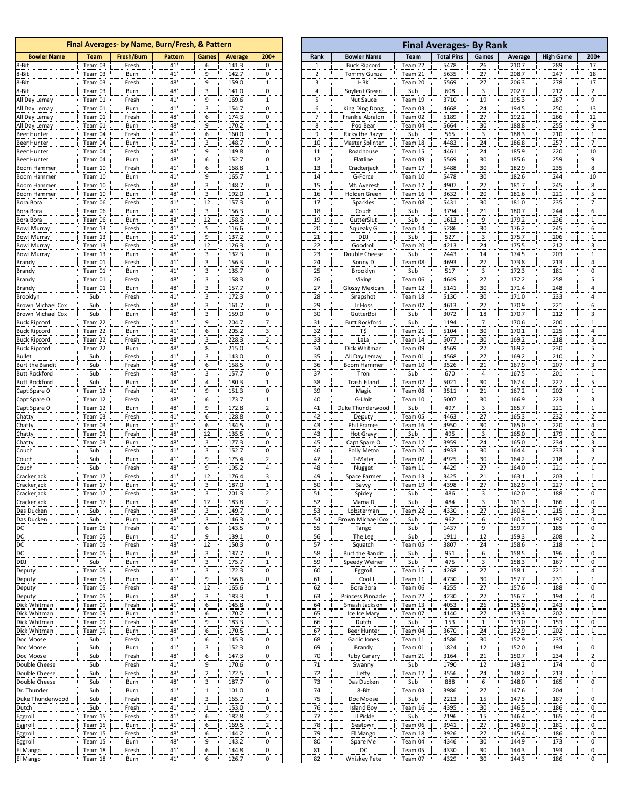|                                            |                    | Final Averages- by Name, Burn/Fresh, & Pattern |                |                         |                |                                        |                                           |                                   |                    | <b>Final Averages- By Rank</b> |                         |  |
|--------------------------------------------|--------------------|------------------------------------------------|----------------|-------------------------|----------------|----------------------------------------|-------------------------------------------|-----------------------------------|--------------------|--------------------------------|-------------------------|--|
| <b>Bowler Name</b>                         | <b>Team</b>        | <b>Fresh/Burn</b>                              | <b>Pattern</b> | Games                   | <b>Average</b> | $200+$                                 | Rank                                      | <b>Bowler Name</b>                | <b>Team</b>        | <b>Total Pins</b>              | Games                   |  |
| 8-Bit                                      | Team 03            | Fresh                                          | 41'            | 6                       | 141.3          | 0                                      | 1                                         | <b>Buck Ripcord</b>               | Team 22            | 5478                           | 26                      |  |
| 8-Bit                                      | Team 03            | Burn                                           | 41'            | 9                       | 142.7          | 0                                      | 2                                         | <b>Tommy Gunzz</b>                | Team 21            | 5635                           | 27                      |  |
| 8-Bit                                      | Team 03            | Fresh                                          | 48'            | 9                       | 159.0          | $\overline{1}$                         | 3                                         | <b>HBK</b>                        | Team 20            | 5569                           | 27                      |  |
| 8-Bit                                      | Team 03            | Burn                                           | $48^\circ$     | 3                       | 141.0          | 0                                      | $\overline{4}$                            | Soylent Green                     | Sub                | 608                            | $\overline{\mathbf{3}}$ |  |
| All Day Lemay<br>All Day Lemay             | Team 01<br>Team 01 | Fresh<br>Burn                                  | 41'<br>41'     | 9<br>3                  | 169.6<br>154.7 | $\overline{1}$<br>0                    | 5<br>6                                    | Nut Sauce                         | Team 19<br>Team 03 | 3710<br>4668                   | 19<br>24                |  |
| All Day Lemay                              | Team 01            | Fresh                                          | 48'            | 6                       | 174.3          | 0                                      |                                           | King Ding Dong<br>Frankie Abralon | Team 02            | 5189                           | 27                      |  |
| All Day Lemay                              | Team 01            | Burn                                           | 48'            | 9                       | 170.2          | $\mathbf{1}$                           | $\overline{z}$<br>$\overline{\mathbf{8}}$ | Poo Bear                          | Team 04            | 5664                           | 30                      |  |
| <b>Beer Hunter</b>                         | Team 04            | Fresh                                          | 41'            | 6                       | 160.0          | $\overline{1}$                         | 9                                         | Ricky the Razyr                   | Sub                | 565                            | $\overline{\mathbf{3}}$ |  |
| <b>Beer Hunter</b>                         | Team 04            | Burn                                           | 41'            | 3                       | 148.7          | $\overline{0}$                         | 10                                        | Master Splinter                   | Team 18            | 4483                           | 24                      |  |
| <b>Beer Hunter</b>                         | Team 04            | Fresh                                          | 48'            | 9                       | 149.8          | 0                                      | 11                                        | Roadhouse                         | Team 15            | 4461                           | 24                      |  |
| Beer Hunter                                | Team 04            | Burn                                           | 48'            | 6                       | 152.7          | 0                                      | 12                                        | Flatline                          | Team 09            | 5569                           | 30                      |  |
| <b>Boom Hammer</b>                         | Team 10            | Fresh                                          | 41'            | 6                       | 168.8          | $\overline{1}$                         | 13                                        | Crackerjack                       | Team 17            | 5488                           | 30                      |  |
| <b>Boom Hammer</b>                         | Team 10            | Burn                                           | 41'            | $9\,$                   | 165.7          | $\overline{1}$                         | 14                                        | G-Force                           | Team 10            | 5478                           | 30                      |  |
| Boom Hammer                                | Team 10            | Fresh                                          | 48'            | 3                       | 148.7          | $\overline{0}$                         | 15                                        | Mt. Averest                       | Team 17            | 4907                           | 27                      |  |
| Boom Hammer                                | Team 10            | Burn                                           | 48'            | 3                       | 192.0          | 1                                      | 16                                        | Holden Green                      | Team 16            | 3632                           | 20                      |  |
| Bora Bora                                  | Team 06            | Fresh                                          | 41'            | 12                      | 157.3          | 0                                      | 17                                        | Sparkles                          | Team 08            | 5431                           | 30                      |  |
| Bora Bora                                  | Team 06            | Burn                                           | 41'            | 3                       | 156.3          | 0                                      | 18                                        | Couch                             | Sub                | 3794                           | 21                      |  |
| Bora Bora                                  | Team 06<br>Team 13 | Burn                                           | 48'            | 12                      | 158.3<br>116.6 | 0                                      | 19                                        | GutterSlut                        | Sub<br>Team 14     | 1613<br>5286                   | 9                       |  |
| Bowl Murray<br><b>Bowl Murray</b>          | Team 13            | Fresh<br>Burn                                  | 41'<br>41'     | 5<br>9                  | 137.2          | $\overline{0}$<br>0                    | 20<br>21                                  | Squeaky G<br><b>DDJ</b>           | Sub                | 527                            | 30<br>3                 |  |
| Bowl Murray                                | Team 13            | Fresh                                          | 48'            | 12                      | 126.3          | 0                                      | 22                                        | Goodroll                          | Team 20            | 4213                           | 24                      |  |
| <b>Bowl Murray</b>                         | Team 13            | Burn                                           | 48'            | 3                       | 132.3          | 0                                      | 23                                        | Double Cheese                     | Sub                | 2443                           | 14                      |  |
| Brandy                                     | Team 01            | Fresh                                          | 41'            | $\overline{\mathbf{3}}$ | 156.3          | 0                                      | 24                                        | Sonny D                           | Team 08            | 4693                           | 27                      |  |
| Brandy                                     | Team 01            | Burn                                           | 41'            | 3                       | 135.7          | 0                                      | 25                                        | Brooklyn                          | Sub                | 517                            | 3                       |  |
| Brandy                                     | Team 01            | Fresh                                          | 48'            | 3                       | 158.3          | 0                                      | 26                                        | Viking                            | Team 06            | 4649                           | 27                      |  |
| Brandy                                     | Team 01            | Burn                                           | 48'            | 3                       | 157.7          | 0                                      | 27                                        | <b>Glossy Mexican</b>             | Team 12            | 5141                           | 30                      |  |
| Brooklyn                                   | Sub                | Fresh                                          | 41'            | $\overline{\mathbf{3}}$ | 172.3          | 0                                      | 28                                        | Snapshot                          | Team 18            | 5130                           | 30                      |  |
| Brown Michael Cox                          | Sub                | Fresh                                          | 48'            | $\overline{\mathbf{3}}$ | 161.7          | 0                                      | 29                                        | Jr Hoss                           | Team 07            | 4613                           | 27                      |  |
| <b>Brown Michael Cox</b>                   | Sub                | Burn                                           | 48'            | 3                       | 159.0          | $\overline{0}$                         | 30                                        | GutterBoi                         | Sub                | 3072                           | 18                      |  |
| <b>Buck Ripcord</b>                        | Team 22            | Fresh                                          | 41'            | 9                       | 204.7          | 7                                      | 31                                        | <b>Butt Rockford</b>              | Sub                | 1194                           | $\overline{7}$          |  |
| <b>Buck Ripcord</b>                        | Team 22            | Burn                                           | 41'<br>48'     | 6                       | 205.2          | 3                                      | 32                                        | T\$                               | Team 21            | 5104<br>5077                   | 30<br>30                |  |
| <b>Buck Ripcord</b><br><b>Buck Ripcord</b> | Team 22<br>Team 22 | Fresh<br>Burn                                  | 48'            | 3<br>8                  | 228.3<br>215.0 | $\overline{2}$                         | 33                                        | LaLa<br>Dick Whitman              | Team 14<br>Team 09 | 4569                           | 27                      |  |
| <b>Bullet</b>                              | Sub                | Fresh                                          | 41'            | 3                       | 143.0          | 5<br>$\overline{0}$                    | 34<br>35                                  | All Day Lemay                     | Team 01            | 4568                           | 27                      |  |
| Burt the Bandit                            | Sub                | Fresh                                          | 48'            | 6                       | 158.5          | 0                                      | 36                                        | Boom Hammer                       | Team 10            | 3526                           | 21                      |  |
| <b>Butt Rockford</b>                       | Sub                | Fresh                                          | 48'            | 3                       | 157.7          | 0                                      | 37                                        | Tron                              | Sub                | 670                            | 4                       |  |
| <b>Butt Rockford</b>                       | Sub                | Burn                                           | 48'            | 4                       | 180.3          | $\overline{1}$                         | 38                                        | Trash Island                      | Team 02            | 5021                           | 30                      |  |
| Capt Spare O                               | Team 12            | Fresh                                          | 41'            | 9                       | 151.3          | 0                                      | 39                                        | Magic                             | Team 08            | 3511                           | 21                      |  |
| Capt Spare O                               | Team 12            | Fresh                                          | 48'            | 6                       | 173.7          | $\overline{1}$                         | 40                                        | G-Unit                            | Team 10            | 5007                           | 30                      |  |
| Capt Spare O                               | Team 12            | Burn                                           | 48'            | 9                       | 172.8          | $\overline{\mathbf{c}}$                | 41                                        | Duke Thunderwood                  | Sub                | 497                            | 3                       |  |
| Chatty                                     | Team 03            | Fresh                                          | 41'            | 6                       | 128.8          | 0                                      | 42                                        | Deputy                            | Team 05            | 4463                           | 27                      |  |
| Chatty                                     | Team 03            | Burn                                           | 41'            | 6                       | 134.5          | 0                                      | 43                                        | Phil Frames                       | Team 16            | 4950                           | 30                      |  |
| Chatty                                     | Team 03            | Fresh                                          | 48'            | 12                      | 135.5          | 0                                      | 43                                        | <b>Hot Gravy</b>                  | Sub                | 495                            | 3                       |  |
| Chatty                                     | Team 03            | Burn                                           | 48'<br>41'     | 3                       | 177.3          | $\overline{0}$                         | 45                                        | Capt Spare O                      | Team 12            | 3959                           | 24                      |  |
| Couch<br>Couch                             | Sub<br>Sub         | Fresh<br>Burn                                  | 41'            | 3<br>9                  | 152.7<br>175.4 | 0                                      | 46<br>47                                  | Polly Metro<br>T-Mater            | Team 20<br>Team 02 | 4933<br>4925                   | 30<br>30                |  |
| Couch                                      | Sub                | Fresh                                          | 48'            | 9                       | 195.2          | $\overline{\mathbf{c}}$                | 48                                        | Nugget                            | Team 11            | 4429                           | 27                      |  |
| Crackerjack                                | Team 17            | Fresh                                          | 41'            | 12                      | 176.4          | $\overline{a}$<br>3                    | 49                                        | Space Farmer                      | Team 13            | 3425                           | 21                      |  |
| Crackerjack                                | Team 17            | Burn                                           | 41'            | 3                       | 187.0          | 1                                      | 50                                        | Savvy                             | Team 19            | 4398                           | 27                      |  |
| Crackerjack                                | Team 17            | Fresh                                          | 48'            | 3                       | 201.3          | 2                                      | 51                                        | Spidey                            | Sub                | 486                            | 3                       |  |
| Crackerjack                                | Team 17            | Burn                                           | 48'            | 12                      | 183.8          | 2                                      | 52                                        | Mama D                            | Sub                | 484                            | 3                       |  |
| Das Ducken                                 | Sub                | Fresh                                          | 48'            |                         | 149.7          | 0                                      | 53                                        | Lobsterman                        | Team 22            | 4330                           | 27                      |  |
| Das Ducken                                 | Sub                | Burn                                           | 48'            | $\frac{3}{3}$           | 146.3          | 0                                      | 54                                        | <b>Brown Michael Cox</b>          | Sub                | 962                            | 6                       |  |
| DC                                         | Team 05            | Fresh                                          | 41'            | 6                       | 143.5          | $\overline{0}$                         | 55                                        | Tango                             | Sub                | 1437                           | 9                       |  |
| DC                                         | Team 05            | Burn                                           | 41'            | 9                       | 139.1          | 0                                      | 56                                        | The Leg                           | Sub                | 1911                           | 12                      |  |
| DC                                         | Team 05            | Fresh                                          | 48'            | 12                      | 150.3          | 0                                      | 57                                        | Squatch                           | Team 05            | 3807                           | 24                      |  |
| DC                                         | Team 05            | Burn                                           | 48'            | $\frac{3}{3}$           | 137.7          | $\overline{0}$                         | 58                                        | <b>Burt the Bandit</b>            | Sub                | 951                            | $\frac{6}{3}$           |  |
| DDJ                                        | Sub<br>Team 05     | Burn                                           | 48'            | 3                       | 175.7<br>172.3 | $\overline{1}$                         | 59                                        | Speedy Weiner                     | Sub<br>Team 15     | 475                            |                         |  |
| Deputy<br>Deputy                           | Team 05            | Fresh<br>Burn                                  | 41'<br>41'     | 9                       | 156.6          | $\overline{0}$<br>0                    | 60<br>61                                  | Eggroll<br>LL Cool J              | Team 11            | 4268<br>4730                   | 27<br>30                |  |
| Deputy                                     | Team 05            | Fresh                                          | 48'            | 12                      | 165.6          | $\mathbf 1$                            | 62                                        | Bora Bora                         | Team 06            | 4255                           | 27                      |  |
| Deputy                                     | Team 05            | Burn                                           | 48'            |                         | 183.3          | $\overline{1}$                         | 63                                        | Princess Pinnacle                 | Team 22            | 4230                           | 27                      |  |
| Dick Whitman                               | Team 09            | Fresh                                          | 41'            | $\frac{3}{6}$           | 145.8          | $\pmb{0}$                              | 64                                        | Smash Jackson                     | Team 13            | 4053                           | 26                      |  |
| Dick Whitman                               | Team 09            | Burn                                           | 41'            | 6                       | 170.2          | $\overline{1}$                         | 65                                        | Ice Ice Mary                      | Team 07            | 4140                           | 27                      |  |
| Dick Whitman                               | Team 09            | Fresh                                          | 48'            | 9                       | 183.3          | 3                                      | 66                                        | Dutch                             | Sub                | 153                            | $\mathbf 1$             |  |
| Dick Whitman                               | Team 09            | Burn                                           | 48'            | 6                       | 170.5          | 1                                      | 67                                        | Beer Hunter                       | Team 04            | 3670                           | 24                      |  |
| Doc Moose                                  | Sub                | Fresh                                          | 41'            | 6                       | 145.3          | $\begin{bmatrix} 0 \\ 0 \end{bmatrix}$ | 68                                        | Garlic Jones                      | Team 11            | 4586                           | 30                      |  |
| Doc Moose                                  | Sub                | Burn                                           | 41'            | $\overline{\mathbf{3}}$ | 152.3          |                                        | 69                                        | Brandy                            | Team 01            | 1824                           | $\frac{1}{2}$           |  |
| Doc Moose                                  | Sub                | Fresh                                          | 48'            | 6                       | 147.3          | $\overline{0}$                         | 70                                        | Ruby Canary                       | Team 21            | 3164                           | 21                      |  |
| Double Cheese                              | Sub                | Fresh                                          | 41'            | 9                       | 170.6          | 0                                      | 71                                        | Swanny                            | Sub                | 1790                           | 12                      |  |
| Double Cheese                              | Sub                | Fresh                                          | 48'            | $\mathbf 2$             | 172.5          | $\mathbf{1}$                           | 72                                        | Lefty                             | Team 12            | 3556                           | 24                      |  |
| Double Cheese                              | Sub                | Burn                                           | 48'            | $\overline{\mathbf{3}}$ | 187.7          | 0                                      | 73                                        | Das Ducken                        | Sub                | 888                            | 6                       |  |
| Dr. Thunder                                | Sub                | Burn                                           | 41'            | $\overline{1}$          | 101.0          | $\pmb{0}$                              | 74                                        | 8-Bit                             | Team 03            | 3986                           | 27                      |  |
| Duke Thunderwood<br>Dutch                  | Sub<br>Sub         | Fresh                                          | 48'<br>41'     | 3                       | 165.7          | $\overline{1}$                         | 75                                        | Doc Moose                         | Sub                | 2213<br>4395                   | 15<br>30                |  |
| Eggroll                                    | Team 15            | Fresh<br>Fresh                                 | 41'            | 1<br>6                  | 153.0<br>182.8 | $\overline{0}$<br>$\overline{2}$       | 76<br>77                                  | <b>Island Boy</b><br>Lil Pickle   | Team 16<br>Sub     | 2196                           | 15                      |  |
| Eggroll                                    | Team 15            | Burn                                           | 41'            | 6                       | 169.5          | $\overline{\mathbf{c}}$                | 78                                        | Seatown                           | Team 06            | 3941                           | 27                      |  |
| Eggroll                                    | Team 15            | Fresh                                          | 48'            | 6                       | 144.2          | $\pmb{0}$                              | 79                                        | El Mango                          | Team 18            | 3926                           | 27                      |  |
| Eggroll                                    | Team 15            | Burn                                           | 48'            | 9                       | 143.2          | $\overline{0}$                         | 80                                        | Spare Me                          | Team 04            | 4346                           | 30                      |  |
| El Mango                                   | Team 18            | Fresh                                          | 41'            | 6                       | 144.8          | $\overline{0}$                         | 81                                        | DC                                | Team 05            | 4330                           | 30                      |  |
| El Mango                                   | Team 18            | Burn                                           | 41'            | 6                       | 126.7          | 0                                      | 82                                        | Whiskey Pete                      | Team 07            | 4329                           | 30                      |  |
|                                            |                    |                                                |                |                         |                |                                        |                                           |                                   |                    |                                |                         |  |

|                                            |                    | Final Averages- by Name, Burn/Fresh, & Pattern |                |                |                |                         |                |                               |                    | Final Averages- By Rank |                      |                |                  |                     |
|--------------------------------------------|--------------------|------------------------------------------------|----------------|----------------|----------------|-------------------------|----------------|-------------------------------|--------------------|-------------------------|----------------------|----------------|------------------|---------------------|
| <b>Bowler Name</b>                         | <b>Team</b>        | <b>Fresh/Burn</b>                              | <b>Pattern</b> | Games          | <b>Average</b> | $200+$                  | Rank           | <b>Bowler Name</b>            | Team               | <b>Total Pins</b>       | Games                | Average        | <b>High Game</b> | $200+$              |
| 8-Bit                                      | Team 03            | Fresh                                          | 41'            | 6              | 141.3          | 0                       | 1              | <b>Buck Ripcord</b>           | Team 22            | 5478                    | 26                   | 210.7          | 289              | 17                  |
| 8-Bit                                      | Team 03            | Burn                                           | 41'            | 9              | 142.7          | 0                       | $\overline{2}$ | <b>Tommy Gunzz</b>            | Team 21            | 5635                    | 27                   | 208.7          | 247              | 18                  |
| 8-Bit                                      | Team 03            | Fresh                                          | 48             | 9              | 159.0          | $\mathbf{1}$            | 3              | <b>HBK</b>                    | Team 20            | 5569                    | 27                   | 206.3          | 278              | 17                  |
| 8-Bit                                      | Team 03            | Burn                                           | 48'            | 3              | 141.0          | 0                       | 4              | Soylent Green                 | Sub                | 608                     | 3                    | 202.7          | 212              | $\overline{2}$      |
| All Day Lemay                              | Team 01            | Fresh                                          | 41             | 9              | 169.6          | 1                       | 5              | <b>Nut Sauce</b>              | Team 19            | 3710                    | 19                   | 195.3          | 267              | 9                   |
| All Day Lemay                              | Team 01            | Burn                                           | 41'            | 3              | 154.7          | 0                       | 6              | King Ding Dong                | Team 03            | 4668                    | 24                   | 194.5          | 250              | 13                  |
| All Day Lemay                              | Team 01            | Fresh                                          | 48             | 6              | 174.3          | 0                       |                | Frankie Abralon               | Team 02            | 5189                    | 27                   | 192.2          | 266              | 12                  |
| All Day Lemay                              | Team 01            | Burn                                           | 48             | 9              | 170.2          | $\mathbf{1}$            | 8              | Poo Bear                      | Team 04            | 5664                    | 30                   | 188.8          | 255              | 9                   |
| <b>Beer Hunter</b>                         | Team 04            | Fresh                                          | 41'            | 6              | 160.0          | 1                       | 9              | Ricky the Razyr               | Sub                | 565                     | 3                    | 188.3          | 210              | 1                   |
| Beer Hunter                                | Team 04            | Burn                                           | 41             | 3              | 148.7          | 0                       | 10             | Master Splinter               | Team 18            | 4483                    | 24                   | 186.8          | 257              | 7                   |
| Beer Hunter                                | Team 04            | Fresh                                          | 48'            | 9              | 149.8          | 0                       | 11             | Roadhouse                     | Team 15            | 4461                    | 24                   | 185.9          | 220              | 10                  |
| Beer Hunter                                | Team 04            | Burn                                           | 48             | 6              | 152.7          | 0                       | 12             | Flatline                      | Team 09            | 5569                    | 30                   | 185.6          | 259              | 9                   |
| Boom Hammer                                | Team 10            | Fresh                                          | 41             | 6              | 168.8          | $\mathbf{1}$            | 13             | Crackerjack                   | Team 17            | 5488                    | 30                   | 182.9          | 235              | 8                   |
| Boom Hammer                                | Team 10            | Burn                                           | 41'            | 9              | 165.7          | $\mathbf{1}$            | 14             | G-Force                       | Team 10            | 5478                    | 30                   | 182.6          | 244              | 10                  |
| <b>Boom Hammer</b>                         | Team 10            | Fresh                                          | 48'            | 3              | 148.7          | 0                       | 15             | Mt. Averest                   | Team 17            | 4907                    | 27                   | 181.7          | 245              | 8                   |
| Boom Hammer                                | Team 10            | Burn                                           | 48'            | 3              | 192.0          | 1                       | 16             | Holden Green                  | Team 16            | 3632                    | 20                   | 181.6          | 221              | 5                   |
| Bora Bora                                  | Team 06            | Fresh                                          | 41             | 12             | 157.3          | 0                       | 17             | Sparkles                      | Team 08            | 5431                    | 30                   | 181.0          | 235              | 7                   |
| Bora Bora                                  | Team 06            | Burn                                           | 41             | 3              | 156.3          | 0                       | 18             | Couch                         | Sub                | 3794                    | 21                   | 180.7          | 244              | 6                   |
| Bora Bora                                  | Team 06            | Burn                                           | 48'            | 12             | 158.3          | 0                       | 19             | GutterSlut                    | Sub                | 1613                    | 9                    | 179.2          | 236              | 1                   |
| Bowl Murray                                | Team 13            | Fresh                                          | 41             | 5              | 116.6          | 0                       | 20             | Squeaky G                     | Team 14            | 5286                    | 30                   | 176.2          | 245              | 6                   |
| <b>Bowl Murray</b>                         | Team 13            | Burn                                           | 41'            | 9              | 137.2          | 0                       | 21             | <b>DDJ</b>                    | Sub                | 527                     | 3                    | 175.7          | 206              | $\mathbf{1}$        |
| Bowl Murray                                | Team 13            | Fresh                                          | 48'            | 12             | 126.3          | 0                       | 22             | Goodroll                      | Team 20            | 4213                    | 24                   | 175.5          | 212              | 3                   |
| Bowl Murray                                | Team 13            | Burn                                           | 48             | 3              | 132.3          | 0                       | 23             | Double Cheese                 | Sub                | 2443                    | 14                   | 174.5          | 203              | 1                   |
| Brandy                                     | Team 01            | Fresh                                          | 41'            | 3              | 156.3          | 0                       | 24             | Sonny D                       | Team 08            | 4693                    | 27                   | 173.8          | 213              | 4                   |
| Brandy                                     | Team 01            | Burn                                           | 41             | 3              | 135.7          | 0                       | 25             | Brooklyn                      | Sub                | 517                     | 3                    | 172.3          | 181              | 0                   |
| Brandy                                     | Team 01            | Fresh                                          | 48'            | 3              | 158.3          | 0                       | 26             | Viking                        | Team 06            | 4649                    | 27                   | 172.2          | 258              | 5                   |
| Brandy                                     | Team 01            | Burn                                           | 48             | 3              | 157.7          | 0                       | 27             | <b>Glossy Mexican</b>         | Team 12            | 5141                    | 30                   | 171.4          | 248              | 4                   |
| Brooklyn                                   | Sub                | Fresh                                          | 41             | 3              | 172.3          | 0                       | 28             | Snapshot                      | Team 18            | 5130                    | 30                   | 171.0          | 233              | 4                   |
| <b>Brown Michael Cox</b>                   | Sub                | Fresh                                          | 48'            | 3              | 161.7          | 0                       | 29             | Jr Hoss                       | Team 07            | 4613                    | 27                   | 170.9          | 221              | 6                   |
| Brown Michael Cox                          | Sub                | Burn                                           | 48'<br>41'     | 3<br>9         | 159.0          | 0                       | 30             | GutterBoi                     | Sub                | 3072                    | 18<br>$\overline{7}$ | 170.7          | 212              | 3                   |
| <b>Buck Ripcord</b>                        | Team 22            | Fresh                                          |                |                | 204.7          | 7                       | 31             | <b>Butt Rockford</b>          | Sub                | 1194                    |                      | 170.6          | 200              | $\mathbf{1}$        |
| <b>Buck Ripcord</b><br><b>Buck Ripcord</b> | Team 22<br>Team 22 | Burn<br>Fresh                                  | 41<br>48'      | 6              | 205.2<br>228.3 | 3                       | 32             | T\$<br>LaLa                   | Team 21<br>Team 14 | 5104<br>5077            | 30<br>30             | 170.1<br>169.2 | 225              | 4                   |
|                                            |                    |                                                |                | 3              |                | $\overline{\mathbf{c}}$ | 33             |                               |                    |                         |                      |                | 218              | 3                   |
| <b>Buck Ripcord</b>                        | Team 22<br>Sub     | Burn<br>Fresh                                  | 48'<br>41      | 8<br>3         | 215.0<br>143.0 | 5<br>0                  | 34<br>35       | Dick Whitman<br>All Day Lemay | Team 09            | 4569<br>4568            | 27<br>27             | 169.2<br>169.2 | 230<br>210       | 5<br>$\overline{2}$ |
| Bullet<br>Burt the Bandit                  | Sub                | Fresh                                          | 48'            | 6              | 158.5          | 0                       | 36             | Boom Hammer                   | Team 01<br>Team 10 | 3526                    | 21                   | 167.9          | 207              |                     |
| <b>Butt Rockford</b>                       | Sub                |                                                |                |                |                |                         |                | Tron                          | Sub                | 670                     | 4                    |                |                  | 3                   |
| <b>Butt Rockford</b>                       | Sub                | Fresh<br>Burn                                  | 48<br>48       | 3<br>4         | 157.7<br>180.3 | 0<br>1                  | 37<br>38       | Trash Island                  | Team 02            | 5021                    | 30                   | 167.5<br>167.4 | 201<br>227       | $\overline{1}$      |
| Capt Spare O                               | Team 12            | Fresh                                          | 41'            | 9              | 151.3          | 0                       | 39             | Magic                         | Team 08            | 3511                    | 21                   | 167.2          | 202              | 5                   |
| Capt Spare O                               | Team 12            | Fresh                                          | 48'            | 6              | 173.7          | 1                       | 40             | G-Unit                        | Team 10            | 5007                    | 30                   | 166.9          | 223              | 1<br>3              |
| Capt Spare O                               | Team 12            | Burn                                           | 48'            | 9              | 172.8          | $\overline{2}$          | 41             | Duke Thunderwood              | Sub                | 497                     | 3                    | 165.7          | 221              | $\mathbf{1}$        |
| Chatty                                     | Team 03            | Fresh                                          | 41             | 6              | 128.8          | 0                       | 42             | Deputy                        | Team 05            | 4463                    | 27                   | 165.3          | 232              | $\overline{2}$      |
| Chatty                                     | Team 03            | Burn                                           | 41             | 6              | 134.5          | 0                       | 43             | Phil Frames                   | Team 16            | 4950                    | 30                   | 165.0          | 220              | 4                   |
| Chatty                                     | Team 03            | Fresh                                          | 48'            | 12             | 135.5          | 0                       | 43             | <b>Hot Gravy</b>              | Sub                | 495                     | 3                    | 165.0          | 179              | 0                   |
| Chatty                                     | Team 03            | Burn                                           | 48'            | 3              | 177.3          | 0                       | 45             | Capt Spare O                  | Team 12            | 3959                    | 24                   | 165.0          | 234              | 3                   |
| Couch                                      | Sub                | Fresh                                          | 41'            | 3              | 152.7          | 0                       | 46             | Polly Metro                   | Team 20            | 4933                    | 30                   | 164.4          | 233              | 3                   |
| Couch                                      | Sub                | Burn                                           | 41             | 9              | 175.4          | $\overline{z}$          | 47             | T-Mater                       | Team 02            | 4925                    | 30                   | 164.2          | 218              | $\overline{2}$      |
| Couch                                      | Sub                | Fresh                                          | 48             | 9              | 195.2          | $\overline{4}$          | 48             | Nugget                        | Team 11            | 4429                    | 27                   | 164.0          | 221              | 1                   |
| Crackerjack                                | Team 17            | Fresh                                          | 41'            | 12             | 176.4          | 3                       | 49             | Space Farmer                  | Team 13            | 3425                    | 21                   | 163.1          | 203              | 1                   |
| Crackerjack                                | Team 17            | Burn                                           | 41             | 3              | 187.0          | 1                       | 50             | Savvy                         | Team 19            | 4398                    | 27                   | 162.9          | 227              | 1                   |
| Crackerjack                                | Team 17            | Fresh                                          | 48'            | 3              | 201.3          | 2                       | 51             | Spidey                        | Sub                | 486                     | 3                    | 162.0          | 188              | 0                   |
| crackerjack                                | ream 1.            | Burn                                           | 48             |                | 183.8          |                         | 52             | Nama D                        | <b>SUD</b>         | 484                     |                      | 101.5          | TPP              |                     |
| Das Ducken                                 | Sub                | Fresh                                          | 48'            | 3              | 149.7          | 0                       | 53             | Lobsterman                    | Team 22            | 4330                    | 27                   | 160.4          | 215              | 3                   |
| Das Ducken                                 | Sub                | Burn                                           | 48'            | 3              | 146.3          | 0                       | 54             | <b>Brown Michael Cox</b>      | Sub                | 962                     | 6                    | 160.3          | 192              | 0                   |
| DC                                         | Team 05            | Fresh                                          | 41'            | 6              | 143.5          | 0                       | 55             | Tango                         | Sub                | 1437                    | 9                    | 159.7          | 185              | 0                   |
| DC                                         | Team 05            | Burn                                           | 41'            | 9              | 139.1          | 0                       | 56             | The Leg                       | Sub                | 1911                    | 12                   | 159.3          | 208              | $\overline{a}$      |
| DC                                         | Team 05            | Fresh                                          | 48'            | 12             | 150.3          | 0                       | 57             | Squatch                       | Team 05            | 3807                    | 24                   | 158.6          | 218              | $\mathbf{1}$        |
| DC                                         | Team 05            | Burn                                           | 48'            | 3              | 137.7          | 0                       | 58             | Burt the Bandit               | Sub                | 951                     | 6                    | 158.5          | 196              | 0                   |
| DDJ                                        | Sub                | Burn                                           | 48'            | 3              | 175.7          | 1                       | 59             | Speedy Weiner                 | Sub                | 475                     | 3                    | 158.3          | 167              | 0                   |
| Deputy                                     | Team 05            | Fresh                                          | 41             | 3              | 172.3          | 0                       | 60             | Eggroll                       | Team 15            | 4268                    | 27                   | 158.1          | 221              | 4                   |
| Deputy                                     | Team 05            | Burn                                           | 41'            | 9              | 156.6          | 0                       | 61             | LL Cool J                     | Team 11            | 4730                    | 30                   | 157.7          | 231              | 1                   |
| Deputy                                     | Team 05            | Fresh                                          | 48'            | 12             | 165.6          | $\mathbf{1}$            | 62             | Bora Bora                     | Team 06            | 4255                    | 27                   | 157.6          | 188              | 0                   |
| Deputy                                     | Team 05            | Burn                                           | 48'            | 3              | 183.3          | $\mathbf{1}$            | 63             | Princess Pinnacle             | Team 22            | 4230                    | 27                   | 156.7          | 194              | 0                   |
| Dick Whitman                               | Team 09            | Fresh                                          | 41'            | 6              | 145.8          | 0                       | 64             | Smash Jackson                 | Team 13            | 4053                    | 26                   | 155.9          | 243              | $\mathbf{1}$        |
| Dick Whitman                               | Team 09            | Burn                                           | 41'            | 6              | 170.2          | 1                       | 65             | Ice Ice Mary                  | Team 07            | 4140                    | 27                   | 153.3          | 202              | 1                   |
| Dick Whitman                               | Team 09            | Fresh                                          | 48'            | 9              | 183.3          | $\overline{\mathbf{3}}$ | 66             | Dutch                         | Sub                | 153                     | 1                    | 153.0          | 153              | $\overline{0}$      |
| Dick Whitman                               | Team 09            | Burn                                           | 48'            | 6              | 170.5          | $\frac{1}{2}$           | 67             | <b>Beer Hunter</b>            | Team 04            | 3670                    | 24                   | 152.9          | 202              | $\overline{1}$      |
| Doc Moose                                  | Sub                | Fresh                                          | 41             | 6              | 145.3          | 0                       | 68             | Garlic Jones                  | Team 11            | 4586                    | 30                   | 152.9          | 235              | 1                   |
| Doc Moose                                  | Sub                | Burn                                           | 41'            | 3              | 152.3          | 0                       | 69             | Brandy                        | Team 01            | 1824                    | 12                   | 152.0          | 194              | 0                   |
| Doc Moose                                  | Sub                | Fresh                                          | 48'            | 6              | 147.3          | 0                       | 70             | <b>Ruby Canary</b>            | Team 21            | 3164                    | 21                   | 150.7          | 234              | $\overline{2}$      |
| Double Cheese                              | Sub                | Fresh                                          | 41'            | 9              | 170.6          | 0                       | 71             | Swanny                        | Sub                | 1790                    | 12                   | 149.2          | 174              | 0                   |
| Double Cheese                              | Sub                | Fresh                                          | 48'            | $\overline{2}$ | 172.5          | 1                       | 72             | Lefty                         | Team 12            | 3556                    | 24                   | 148.2          | 213              | 1                   |
| Double Cheese                              | Sub                | Burn                                           | 48'            | 3              | 187.7          | 0                       | 73             | Das Ducken                    | Sub                | 888                     | 6                    | 148.0          | 165              | 0                   |
| Dr. Thunder                                | Sub                | Burn                                           | 41'            | 1              | 101.0          | 0                       | 74             | 8-Bit                         | Team 03            | 3986                    | 27                   | 147.6          | 204              | 1                   |
| Duke Thunderwood                           | Sub                | Fresh                                          | 48'            | 3              | 165.7          | 1                       | 75             | Doc Moose                     | Sub                | 2213                    | 15                   | 147.5          | 187              | 0                   |
| Dutch                                      | Sub                | Fresh                                          | 41'            | $\mathbf{1}$   | 153.0          | $\overline{0}$          | 76             | <b>Island Boy</b>             | Team 16            | 4395                    | 30                   | 146.5          | 186              | 0                   |
| Eggroll                                    | Team 15            | Fresh                                          | 41'            | 6              | 182.8          | $\overline{z}$          | 77             | Lil Pickle                    | Sub                | 2196                    | 15                   | 146.4          | 165              | 0                   |
| Eggroll                                    | Team 15            | Burn                                           | 41             | 6              | 169.5          | $\overline{2}$          | 78             | Seatown                       | Team 06            | 3941                    | 27                   | 146.0          | 181              | 0                   |
| Eggroll                                    | Team 15            | Fresh                                          | 48'            | 6              | 144.2          | 0                       | 79             | El Mango                      | Team 18            | 3926                    | 27                   | 145.4          | 186              | 0                   |
| Eggroll                                    | Team 15            | Burn                                           | 48'            | 9              | 143.2          | 0                       | 80             | Spare Me                      | Team 04            | 4346                    | 30                   | 144.9          | 173              | 0                   |
| El Mango                                   | Team 18            | Fresh                                          | 41'            | 6              | 144.8          | 0                       | 81             | DC                            | Team 05            | 4330                    | 30                   | 144.3          | 193              | 0                   |
| El Mango                                   | Team 18            | Burn                                           | 41'            | 6              | 126.7          | 0                       | 82             | Whiskey Pete                  | Team 07            | 4329                    | 30                   | 144.3          | 186              | 0                   |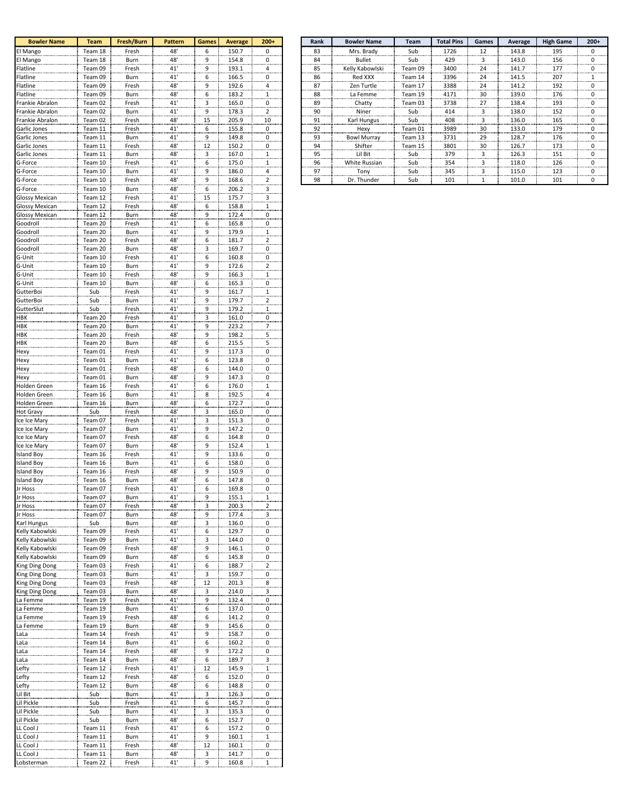| <b>Bowler Name</b>                 | <b>Team</b>        | Fresh/Burn           | <b>Pattern</b>  | Games                   | <b>Average</b> | $200+$                                    |
|------------------------------------|--------------------|----------------------|-----------------|-------------------------|----------------|-------------------------------------------|
| El Mango                           | Team 18            | Fresh                | 48'             | 6                       | 150.7          | $\overline{0}$                            |
| El Mango                           | Team 18            | Burn                 | 48              | 9                       | 154.8          | $\overline{0}$                            |
| Flatline<br>Flatline               | Team 09<br>Team 09 | Fresh<br>Burn        | 41'<br>41'      | 9<br>6                  | 193.1<br>166.5 | $\overline{a}$<br>$\overline{0}$          |
| Flatline                           | Team 09            | Fresh                | 48              | 9                       | 192.6          | $\overline{a}$                            |
| Flatline                           | Team 09            | <b>Burn</b>          | 48'             | 6                       | 183.2          | $\overline{1}$                            |
| Frankie Abralon                    | Team 02            | Fresh                | 41'             | 3                       | 165.0          | $\overline{0}$                            |
| Frankie Abralon                    | Team 02            | Burn                 | 41'             | 9                       | 178.3          | $\overline{2}$                            |
| Frankie Abralon                    | Team 02            | Fresh                | 48'             | 15                      | 205.9          | 10                                        |
| Garlic Jones                       | Team 11            | Fresh                | 41'             | 6                       | 155.8          | $\overline{0}$                            |
| Garlic Jones                       | Team 11            | <b>Burn</b>          | 41'             | 9                       | 149.8          | $\overline{0}$                            |
| Garlic Jones                       | Team 11            | Fresh                | 48              | 12                      | 150.2          | 0                                         |
| Garlic Jones                       | Team 11            | Burn                 | 48'             | $\overline{\mathbf{3}}$ | 167.0          | $\frac{1}{2}$                             |
| G-Force                            | Team 10            | Fresh                | 41'<br>41'      | 6                       | 175.0          | $\mathbf{1}$<br>4                         |
| G-Force                            | Team 10            | Burn                 | 48'             | 9                       | 186.0          |                                           |
| G-Force                            | Team 10            | Fresh                | 48'             | $\overline{9}$          | 168.6<br>206.2 | $\overline{\mathbf{c}}$                   |
| G-Force<br>Glossy Mexicar          | Team 10<br>Team 12 | Burn<br><u>Fresh</u> | 41'             | 6<br>15                 | 175.7          | 3<br>$\overline{\mathbf{3}}$              |
| <b>Glossy Mexican</b>              | Team 12            | Fresh                | 48'             | 6                       | 158.8          | $\overline{1}$                            |
| <b>Glossy Mexican</b>              | Team 12            | Burn                 | 48'             | 9                       | 172.4          | $\overline{0}$                            |
| Goodroll                           | Team 20            | Fresh                | 41'             | 6                       | 165.8          | $\overline{\mathbf{0}}$                   |
| Goodroll                           | Team 20            | Burn                 | 41'             | 9                       | 179.9          | $\mathbf{1}$                              |
| Goodroll                           | Team 20            | Fresh                | 48              | 6                       | 181.7          | $\overline{\mathbf{c}}$                   |
| Goodroll                           | Team 20            | Burn                 | $\frac{48}{10}$ | $\overline{\mathbf{3}}$ | 169.7          | $\overline{0}$                            |
| G-Unit                             | Team 10            | Fresh                | 41'             | 6                       | 160.8          | $\overline{0}$                            |
| G-Unit                             | Team 10            | Burn                 | 41'             | 9                       | 172.6          | $\overline{\mathbf{c}}$                   |
| G-Unit                             | Team 10            | Fresh                | 48'             | 9                       | 166.3          | $\mathbf{1}$                              |
| G-Unit                             | Team 10            | Burn                 | 48'             | 6                       | 165.3          | $\overline{0}$                            |
| GutterBoi                          | Sub                | Fresh                | 41'             | 9                       | 161.7          | $\overline{1}$                            |
| GutterBoi<br>GutterSlut            | Sub<br>Sub         | Burn<br>Fresh        | $\frac{41}{41}$ | 9<br>9                  | 179.7<br>179.2 | $\overline{c}$<br>$\frac{1}{2}$           |
| HBK                                | Team 20            | Fresh                | 41'             | 3                       | 161.0          | $\overline{\mathbf{0}}$                   |
| HBK                                | Team 20            | Burn                 | 41'             | 9                       | 223.2          | 7                                         |
| HBK                                | Team 20            | Fresh                | 48'             | 9                       | 198.2          | 5                                         |
| HBK                                | Team 20            | <b>Burn</b>          |                 | 6                       | 215.5          | 5                                         |
| Hexy                               | Team 01            | Fresh                | 48'<br>41'      | 9                       | 117.3          | $\overline{0}$                            |
| Hexy                               | Team 01            | Burn                 | 41'             | 6                       | 123.8          | $\overline{0}$                            |
| Hexy                               | Team 01            | Fresh                | 48              | 6                       | 144.0          | $\overline{0}$                            |
| Hexy                               | Team 01            | Burn                 | 48'             | 9                       | 147.3          | $\overline{0}$                            |
| Holden Green                       | Team 16            | Fresh                | 41'             | 6                       | 176.0          | $\overline{1}$                            |
| Holden Green                       | Team 16            | Burn                 | 41'             | 8                       | 192.5          | 4                                         |
| Holden Green                       | Team 16<br>Sub     | Burn                 | 48'<br>48       | 6                       | 172.7          | $\boldsymbol{0}$                          |
| Hot Gravy<br>Ice Ice Mary          | Team 07            | Fresh<br>Fresh       | 41'             | 3<br>3                  | 165.0<br>151.3 | $\overline{0}$<br>$\overline{0}$          |
| Ice Ice Mary                       | Team 07            | Burn                 | 41'             | 9                       | 147.2          | $\overline{0}$                            |
| Ice Ice Mary                       | Team 07            | Fresh                | 48              | 6                       | 164.8          | $\overline{0}$                            |
| Ice Ice Mary                       | Team 07            | Burn                 | 48'             | 9                       | 152.4          | $\mathbf{1}$                              |
| <b>Island Boy</b>                  | Team 16            | Fresh                | 41'             | 9                       | 133.6          | $\overline{0}$                            |
| Island Boy                         | Team 16            | Burn                 | 41'             | 6                       | 158.0          | $\overline{\mathbf{0}}$                   |
| <b>Island Boy</b>                  | Team 16            | <b>Fresh</b>         | 48'             | 9                       | 150.9          | $\overline{0}$                            |
| <b>Island Boy</b>                  | Team 16            | Burn                 | 48              | 6                       | 147.8          | $\overline{0}$                            |
| Jr Hoss                            | Team 07            | Fresh                | 41'             |                         | 169.8          | $\overline{\mathbf{0}}$                   |
| Jr Hoss                            | Team 07            | Burn                 | 41              | 9                       | <u>155.1</u>   | $\overline{1}$                            |
| Jr Hoss                            | Team 07            | Fresh                | 48'             | $\overline{\mathbf{3}}$ | 200.3          | $\overline{\mathbf{c}}$                   |
| <u>Jr Hoss</u>                     | Team 07            | Burn                 | 48'<br>48'      | 9                       | 177.4          | $\overline{\mathbf{3}}$                   |
| Karl Hungus                        | Sub                | Burn                 |                 | 3                       | 136.0<br>129.7 | 0                                         |
| Kelly Kabowlski<br>Kelly Kabowlski | Team 09<br>Team 09 | Fresh<br>Burn        | 41'<br>41'      | 6<br>3                  | 144.0          | $\overline{\mathbf{0}}$<br>$\overline{0}$ |
| Kelly Kabowlski                    | Team 09            | Fresh                | 48'             | 9                       | 146.1          | $\overline{\mathbf{0}}$                   |
| Kelly Kabowlski                    | Team 09            | Burn                 | 48'             | 6                       | 145.8          | $\overline{0}$                            |
| King Ding Dong                     | Team 03            | Fresh                | 41'             | 6                       | 188.7          | $\overline{\mathbf{c}}$                   |
| King Ding Dong                     | Team 03            | Burn                 | 41'             | $\overline{\mathbf{3}}$ | 159.7          | $\overline{\mathbf{0}}$                   |
| King Ding Dong                     | Team 03            | Fresh                | 48'             | 12                      | 201.3          | $\overline{\mathbf{8}}$                   |
| King Ding Dong                     | Team 03            | Burn                 | 48'             | $\overline{\mathbf{3}}$ | 214.0          | $\overline{\mathbf{3}}$                   |
| La Femme                           | Team 19            | <b>Fresh</b>         | 41              | $^9$                    | 132.4          | $\overline{0}$                            |
| La Femme                           | Team 19            | Burn                 | 41'             | 6                       | 137.0          | $\overline{0}$                            |
| La Femme                           | Team 19            | Fresh                | 48'             | 6                       | 141.2          | $\overline{\mathbf{0}}$                   |
| La Femme                           | Team 19            | Burn                 | 48'             | 9                       | 145.6          | $\overline{0}$                            |
| <u>LaLa</u>                        | Team 14            | <u>Fresh</u>         | 41'             | 9                       | 158.7<br>160.2 | $\overline{0}$                            |
| LaLa<br>LaLa                       | Team 14<br>Team 14 | Burn<br>Fresh        | 41'<br>48'      | 6<br>9                  | 172.2          | $\overline{0}$<br>$\overline{0}$          |
| LaLa                               | Team 14            | Burn                 | 48'             | $6 \overline{6}$        | 189.7          | $\overline{\mathbf{3}}$                   |
| Lefty                              | Team 12            | <u>Fresh</u>         | 41'             | 12                      | 145.9          | $\mathbf{1}$                              |
| Lefty                              | Team 12            | <u>Fresh</u>         | 48'             | $6 \overline{6}$        | 152.0          | $\overline{0}$                            |
| Lefty                              | Team 12            | Burn                 | 48'             | 6                       | 148.8          | $\overline{0}$                            |
| Lil Bit                            | Sub                | Burn                 | 41'             | 3                       | 126.3          | $\overline{0}$                            |
| Lil Pickle                         | Sub                | <u>Fresh</u>         | 41'             | 6                       | 145.7          | $\overline{\mathbf{0}}$                   |
| Lil Pickle                         | Sub                | Burn                 | 41'             | 3                       | 135.3          | $\overline{0}$                            |
| Lil Pickle                         | Sub                | Burn                 | 48'             | $6 \overline{6}$        | 152.7          | $\overline{0}$                            |
| LL Cool J                          | Team 11            | <u>Fresh</u>         | 41'             | 6                       | 157.2          | $\overline{0}$                            |
| LL Cool J                          | Team 11            | Burn                 | 41'             | 9                       | 160.1          | $\frac{1}{2}$                             |
| LL Cool J                          | Team 11            | <u>Fresh</u>         | 48'             | 12                      | 160.1          | $\overline{\mathbf{0}}$                   |
| LL Cool J                          | Team 11            | Burn                 | 48'<br>41'      | 3                       | 141.7          | 0                                         |
| Lobsterman                         | Team 22            | Fresh                |                 | 9                       | 160.8          | 1                                         |

| <b>Bowler Name</b> | <b>Team</b> | Fresh/Burn  | <b>Pattern</b> | <b>Games</b> | Average | $200+$ | Rank | <b>Bowler Name</b>   | <b>Team</b> | <b>Total Pins</b> | Games | Average | <b>High Game</b> |  |
|--------------------|-------------|-------------|----------------|--------------|---------|--------|------|----------------------|-------------|-------------------|-------|---------|------------------|--|
| El Mango           | Team 18     | Fresh       | 48'            | h            | 150.7   |        | 83   | Mrs. Brady           | Sub         | 1726              | 12    | 143.8   | 195              |  |
| El Mango           | Team 18     | Burn        | 48             | q            | 154.8   |        | 84   | Bullet               | Sub         | 429               |       | 143.0   | 156              |  |
| Flatline           | Team 09     | Fresh       | 41'            | q            | 193.1   |        | 85   | Kelly Kabowlski      | Team 09     | 3400              | 24    | 141.7   | 177              |  |
| Flatline           | Team 09     | <b>Burn</b> | 41'            | h            | 166.5   |        | 86   | Red XXX              | Team 14     | 3396              | 24    | 141.5   | 207              |  |
| Flatline           | Team 09     | Fresh       | 48'            | ٩            | 192.6   | .      | 87   | Zen Turtle           | Team 17     | 3388              | 24    | 141.2   | 192              |  |
| Flatline           | Team 09     | Burn        | 48'            | 6            | 183.2   |        | 88   | La Femme             | Team 19     | 4171              | 30    | 139.0   | 176              |  |
| Frankie Abralon    | Team 02     | Fresh       | 41'            |              | 165.0   |        | 89   | Chatty               | Team 03     | 3738              | 27    | 138.4   | 193              |  |
| Frankie Abralon    | Team 02     | <b>Burn</b> | 41'            | ٩            | 178.3   |        | 90   | Niner                | Sub         | 414               |       | 138.0   | 152              |  |
| Frankie Abralon    | Team 02     | Fresh       | 48'            | 15           | 205.9   | 10     | 91   | Karl Hungus          | Sub         | 408               |       | 136.0   | 165              |  |
| Garlic Jones       | Team 11     | Fresh       | 41             | 6.           | 155.8   |        | 92   | Hexy                 | Team 01     | 3989              | 30    | 133.0   | 179              |  |
| Garlic Jones       | Team 11     | <b>Burn</b> | 41'            | ٩            | 149.8   |        | 93   | <b>Bowl Murray</b>   | Team 13     | 3731              | 29    | 128.7   | 176              |  |
| Garlic Jones       | Team 11     | Fresh       | 48'            | 12           | 150.2   | .      | 94   | Shifter              | Team 15     | 3801              | 30    | 126.7   | 173              |  |
| Garlic Jones       | Team 11     | Burn        | 48'            |              | 167.0   |        | 95   | Lil Bit              | Sub         | 379               |       | 126.3   | 151              |  |
| G-Force            | Team 10     | Fresh       | 41             | 6.           | 175.0   |        | 96   | <b>White Russian</b> | Sub         | 354               |       | 118.0   | 126              |  |
| G-Force            | Team 10     | <b>Burn</b> | 41'            | ٩            | 186.0   |        | 97   | Tony                 | Sub         | 345               |       | 115.0   | 123              |  |
| G-Force            | Team 10     | Fresh       | 48'            | ٩            | 168.6   |        | 98   | Dr. Thunder          | Sub         | 101               |       | 101.0   | 101              |  |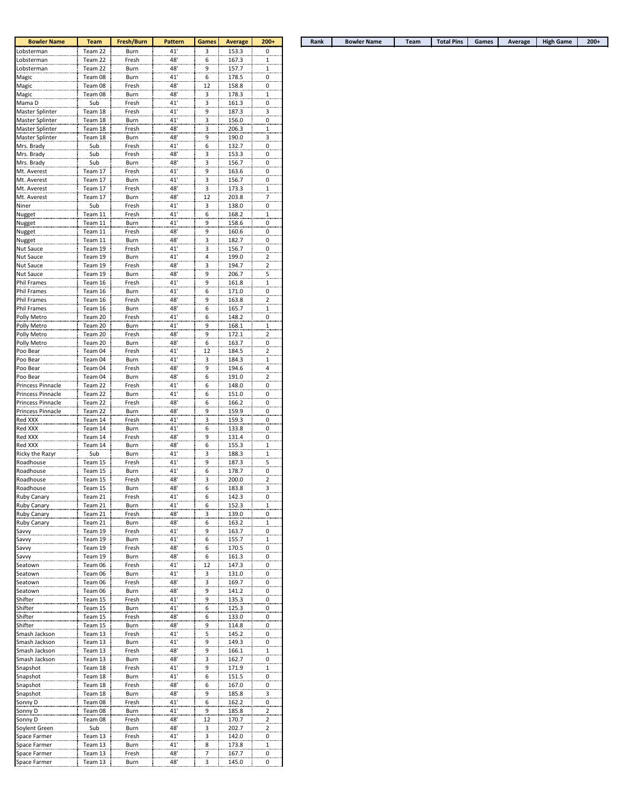| <b>Bowler Name</b>                 | <b>Team</b>        | Fresh/Burn           | Pattern        | <b>Games</b>                 | <b>Average</b> | $200+$                                             |
|------------------------------------|--------------------|----------------------|----------------|------------------------------|----------------|----------------------------------------------------|
| Lobsterman                         | Team 22            | Burn                 | 41'            | 3                            | 153.3          | $\overline{0}$                                     |
| Lobsterman                         | Team 22            | Fresh                | 48'            | 6                            | 167.3          | $\mathbf{1}$                                       |
| <u>Lobsterman</u>                  | Team 22            | Burn                 | 48'            | 9                            | 157.7          | $\overline{1}$                                     |
| Magic                              | Team 08            | <b>Burn</b>          | 41'            | 6                            | 178.5          | 0                                                  |
| Magic                              | Team 08            | Fresh                | 48'<br>48      | 12                           | 158.8          | $\overline{0}$                                     |
| Magic                              | Team 08            | Burn                 | 41'            | 3                            | 178.3          | $\overline{1}$                                     |
| Mama D                             | Sub                | Fresh                |                | $\overline{\mathbf{3}}$      | 161.3          | $\overline{0}$                                     |
| Master Splinter                    | Team 18            | <u>Fresh</u>         | 41'<br>41'     | 9                            | 187.3          | 3                                                  |
| Master Splinter                    | Team 18<br>Team 18 | Burn<br>Fresh        | 48'            | 3                            | 156.0<br>206.3 | 0                                                  |
| Master Splinter<br>Master Splinter | Team 18            | Burn                 | 48             | $\overline{\mathbf{3}}$      | 190.0          | $\frac{1}{2}$                                      |
| Mrs. Brady                         | Sub                | Fresh                | 41'            | 9                            | 132.7          | $\overline{\mathbf{3}}$<br>$\overline{\mathbf{0}}$ |
|                                    |                    |                      |                | 6                            |                |                                                    |
| Mrs. Brady<br>Mrs. Brady           | Sub                | <u>Fresh</u><br>Burn | 48'<br>48'     | 3                            | 153.3          | $\overline{0}$                                     |
| Mt. Averest                        | Sub<br>Team 17     | Fresh                | 41'            | 3                            | 156.7<br>163.6 | 0                                                  |
| Mt. Averest                        | Team 17            | Burn                 | 41'            | 9                            | 156.7          | $\overline{0}$<br>$\overline{0}$                   |
| Mt. Averest                        | Team 17            | Fresh                | 48'            | 3<br>$\overline{\mathbf{3}}$ | 173.3          | $\overline{1}$                                     |
| Mt. Averest                        | Team 17            | <b>Burn</b>          |                | $\frac{12}{1}$               | 203.8          | $\overline{z}$                                     |
| Niner                              | Sub                | Fresh                | 48'<br>41'     | 3                            | 138.0          | $\boldsymbol{0}$                                   |
| Nugget                             | Team 11            | Fresh                | 41'            | $\overline{6}$               | 168.2          | $\frac{1}{2}$                                      |
| Nugget                             | Team 11            | Burn                 | 41'            | 9                            | 158.6          | $\overline{0}$                                     |
| Nugget                             | Team 11            | Fresh                | 48'            | 9                            | 160.6          | $\overline{\mathbf{0}}$                            |
|                                    | Team 11            | <b>Burn</b>          |                |                              | 182.7          |                                                    |
| Nugget<br>Nut Sauce                | Team 19            | Fresh                | 48'<br>41'     | 3<br>$\overline{\mathbf{3}}$ | 156.7          | $\overline{0}$<br>0                                |
| Nut Sauce                          | Team 19            | <b>Burn</b>          | 41'            | 4                            | 199.0          | $\overline{\mathbf{c}}$                            |
| Nut Sauce                          | Team 19            | Fresh                | 48'            | 3                            | 194.7          |                                                    |
| Nut Sauce                          | Team 19            | Burn                 | 48'            | 9                            | 206.7          | $\overline{\mathbf{c}}$<br>5                       |
| Phil Frames                        | Team 16            | Fresh                | 41'            |                              | 161.8          |                                                    |
| Phil Frames                        | Team 16            | Burn                 | 41'            | 9<br>6                       | 171.0          | $\overline{1}$<br>0                                |
| Phil Frames                        | Team 16            | Fresh                | 48             | 9                            | 163.8          | $\overline{\mathbf{c}}$                            |
| Phil Frames                        | Team 16            | Burn                 | 48'            | 6                            | 165.7          | 1                                                  |
| Polly Metro                        | Team 20            | Fresh                | 41'            |                              | 148.2          | $\overline{0}$                                     |
| Polly Metro                        |                    | Burn                 |                | 6                            | 168.1          |                                                    |
| Polly Metro                        | Team 20<br>Team 20 | Fresh                | 41<br>48       | 9<br>9                       | 172.1          | $\overline{1}$<br>$\overline{\mathbf{c}}$          |
|                                    |                    |                      |                |                              |                |                                                    |
| Polly Metro<br>Poo Bear            | Team 20<br>Team 04 | <b>Burn</b><br>Fresh | 48<br>41'      | 6<br>12                      | 163.7<br>184.5 | $\overline{\mathbf{0}}$<br>$\overline{\mathbf{c}}$ |
| Poo Bear                           | Team 04            | Burn                 | 41'            |                              | 184.3          | $\overline{1}$                                     |
|                                    |                    |                      |                | $\overline{\mathbf{3}}$      | 194.6          |                                                    |
| Poo Bear<br>Poo Bear               | Team 04<br>Team 04 | Fresh<br>Burn        | 48'<br>48'     | 9<br>6                       | 191.0          | $\overline{a}$<br>$\overline{\mathbf{c}}$          |
| Princess Pinnacle                  | Team 22            | Fresh                | 41'            | 6                            | 148.0          | $\overline{0}$                                     |
| Princess Pinnacle                  | Team 22            | Burn                 | 41'            | 6                            | 151.0          | $\overline{0}$                                     |
| Princess Pinnacle                  | Team 22            | Fresh                | 48'            | 6                            | 166.2          | $\overline{\mathbf{0}}$                            |
| Princess Pinnacle                  | Team 22            | Burn                 | 48'            | 9                            | 159.9          | $\overline{0}$                                     |
| Red XXX                            | Team 14            | Fresh                | 41'            | 3                            | 159.3          | $\overline{0}$                                     |
| Red XXX                            | Team 14            | <b>Burn</b>          | 41'            | 6                            | 133.8          | $\overline{0}$                                     |
| Red XXX                            | Team 14            | Fresh                | 48'            | 9                            | 131.4          | $\overline{0}$                                     |
| Red XXX                            | Team 14            | Burn                 | 48'            | 6                            | 155.3          | $\overline{1}$                                     |
| Ricky the Razyr                    | Sub                | <b>Burn</b>          | 41             | 3                            | 188.3          | $\overline{1}$                                     |
| Roadhouse                          | Team 15            | Fresh                | 41'            | 9                            | 187.3          | 5                                                  |
| Roadhouse                          | Team 15            | <b>Burn</b>          | 41'            | 6                            | 178.7          | $\overline{0}$                                     |
| Roadhouse                          | Team 15            | Fresh                | 48             | 3                            | 200.0          | $\overline{a}$                                     |
| Roadhouse                          | Team 15            | Burn                 | 48'            | 6                            | 183.8          | $\overline{\mathbf{3}}$                            |
|                                    | Team 21            |                      |                |                              |                |                                                    |
| kuby Canary<br>Ruby Canary         | Team 21            | Fresh<br>Burn        | $^{41}$<br>41' | p<br>$^{6}$                  | 142.3<br>152.3 | .≌.<br>$\overline{1}$                              |
| <b>Ruby Canary</b>                 | Team 21            | Fresh                | 48'            | 3                            | 139.0          | $\overline{0}$                                     |
| Ruby Canary                        | Team 21            | Burn                 | 48             | 6                            | 163.2          | $\mathbf{1}$                                       |
| Savvy                              | Team 19            | Fresh                | 41             | 9                            | 163.7          | $\overline{\mathbf{0}}$                            |
|                                    | Team 19            | Burn                 | 41             | 6                            | 155.7          |                                                    |
| Savvy<br>Savvy                     | Team 19            | Fresh                | 48'            | 6                            | 170.5          | $\overline{1}$<br>$\overline{0}$                   |
| Savvy                              | Team 19            | <b>Burn</b>          | 48'            | 6                            | 161.3          | $\overline{0}$                                     |
| Seatown                            | Team 06            | Fresh                | 41'            | 12                           | 147.3          | $\overline{0}$                                     |
| Seatown                            | Team 06            | Burn                 | 41'            | $\overline{\mathbf{3}}$      | 131.0          | $\overline{\mathbf{0}}$                            |
| Seatown                            | Team 06            | Fresh                | 48'            | $\overline{\mathbf{3}}$      | 169.7          | $\overline{0}$                                     |
| Seatown                            | Team 06            | Burn                 | 48'            | 9                            | 141.2          | $\overline{0}$                                     |
| Shifter                            | Team 15            | Fresh                | 41'            | 9                            | 135.3          | $\overline{0}$                                     |
| Shifter                            | Team 15            | Burn                 | 41'            | 6                            | 125.3          | $\overline{0}$                                     |
| Shifter                            | Team 15            | Fresh                | 48'            | 6                            | 133.0          | $\overline{\mathbf{0}}$                            |
| Shifter                            | Team 15            | Burn                 | 48'            | 9                            | 114.8          | $\overline{0}$                                     |
| Smash Jackson                      | Team 13            | Fresh                | 41'            | 5                            | 145.2          | $\overline{0}$                                     |
| Smash Jackson                      | Team 13            | <b>Burn</b>          | 41'            | 9                            | 149.3          | $\overline{\mathbf{0}}$                            |
| Smash Jackson                      | Team 13            | Fresh                | 48'            | 9                            | 166.1          | $\overline{1}$                                     |
| Smash Jackson                      | Team 13            | Burn                 | 48'            | $\overline{\mathbf{3}}$      | 162.7          | $\overline{\mathbf{0}}$                            |
| Snapshot                           | Team 18            | Fresh                | 41'            | 9                            | 171.9          | $\overline{1}$                                     |
| Snapshot                           | Team 18            | Burn                 | 41'            | $\overline{6}$               | 151.5          | $\overline{0}$                                     |
| Snapshot                           | Team 18            | Fresh                | 48'            | 6                            | 167.0          | $\overline{\mathbf{0}}$                            |
| Snapshot                           | Team 18            | Burn                 | 48'            | 9                            | 185.8          | $\overline{\mathbf{3}}$                            |
| Sonny D                            | Team 08            | Fresh                | 41'            | 6                            | 162.2          | $\overline{0}$                                     |
| Sonny D                            | Team 08            | Burn                 | 41             | 9                            | 185.8          | $\overline{a}$                                     |
| Sonny D                            | Team 08            | Fresh                | 48             | 12                           | 170.7          | $\overline{\mathbf{c}}$                            |
| Soylent Green                      | Sub                | <b>Burn</b>          | 48'            | $\overline{\mathbf{3}}$      | 202.7          | $\overline{\mathbf{c}}$                            |
| Space Farmer                       | Team 13            | Fresh                | 41'            | 3                            | 142.0          | $\overline{0}$                                     |
| Space Farmer                       | Team 13            | Burn                 | 41'            | 8                            | 173.8          | $\overline{1}$                                     |
| Space Farmer                       | Team 13            | Fresh                | 48'            | 7.                           | <u>167.7</u>   | $\overline{0}$                                     |
| Space Farmer                       | Team 13            | Burn                 | 48'            | 3                            | 145.0          | $\overline{0}$                                     |
|                                    |                    |                      |                |                              |                |                                                    |

| <b>Bowler Name</b> | <b>Team</b> | Fresh/Burn i | <b>Pattern</b> | Games | Average | $200+$ |  | Rank | <b>Bowler Name</b> | <b>Team</b> | <b>Total Pins</b> | Games | Average | <b>High Game</b> | 200+ |
|--------------------|-------------|--------------|----------------|-------|---------|--------|--|------|--------------------|-------------|-------------------|-------|---------|------------------|------|
|--------------------|-------------|--------------|----------------|-------|---------|--------|--|------|--------------------|-------------|-------------------|-------|---------|------------------|------|